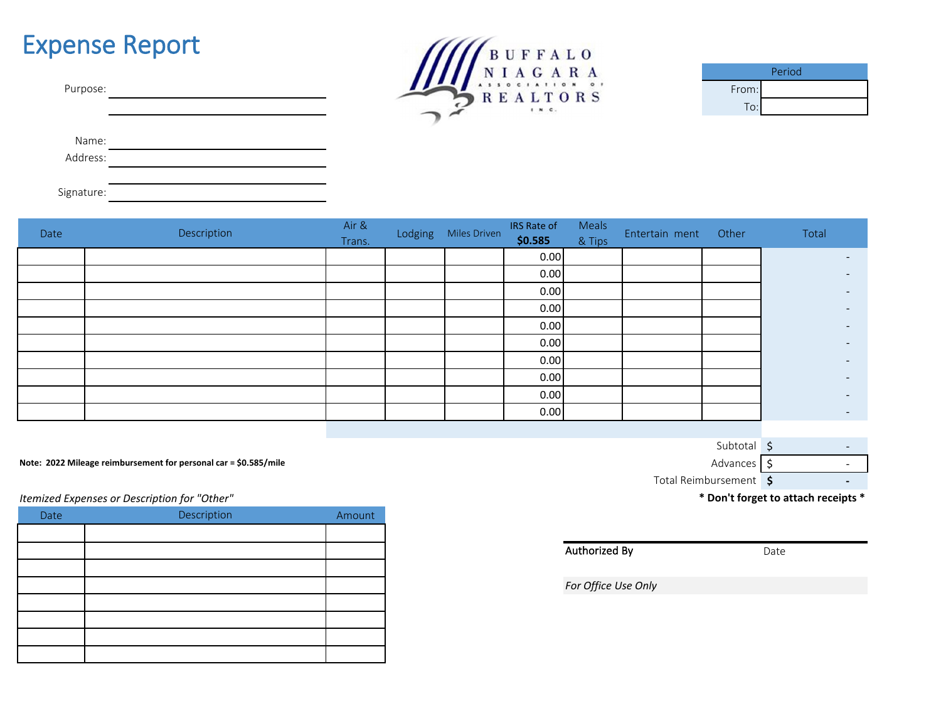## Expense Report



|       | Period |
|-------|--------|
| From: |        |
| To:   |        |

Name:

Address:

Signature:

| Date | Description | Air &<br>Trans. | Lodging Miles Driven | IRS Rate of<br>\$0.585 | Meals<br>& Tips | Entertain ment | Other | Total                    |
|------|-------------|-----------------|----------------------|------------------------|-----------------|----------------|-------|--------------------------|
|      |             |                 |                      | 0.00                   |                 |                |       | $\sim$                   |
|      |             |                 |                      | 0.00                   |                 |                |       | $\overline{\phantom{0}}$ |
|      |             |                 |                      | 0.00                   |                 |                |       | $\overline{\phantom{0}}$ |
|      |             |                 |                      | 0.00                   |                 |                |       | $\overline{\phantom{a}}$ |
|      |             |                 |                      | 0.00                   |                 |                |       | $\overline{\phantom{0}}$ |
|      |             |                 |                      | 0.00                   |                 |                |       | $\overline{\phantom{0}}$ |
|      |             |                 |                      | 0.00                   |                 |                |       | $\overline{\phantom{a}}$ |
|      |             |                 |                      | 0.00                   |                 |                |       | $\sim$                   |
|      |             |                 |                      | 0.00                   |                 |                |       | $\sim$                   |
|      |             |                 |                      | 0.00                   |                 |                |       | $\sim$                   |

**Note: 2022 Mileage reimbursement for personal car = \$0.585/mile** Advances **6** Advances **6** Advances **6** Advances **6** Advances **6** Advances **6** Advances **6** Advances **6** Advances **6** Advances **6** Advances **6** Advances **6**

*Itemized Expenses or Description for "Other"*

| Date | Description | Amount |
|------|-------------|--------|
|      |             |        |
|      |             |        |
|      |             |        |
|      |             |        |
|      |             |        |
|      |             |        |
|      |             |        |
|      |             |        |

\$ - \$ - **\$ -** Total Reimbursement 5 Subtotal \$

**\* Don't forget to attach receipts \***

Authorized By

Date

*For Office Use Only*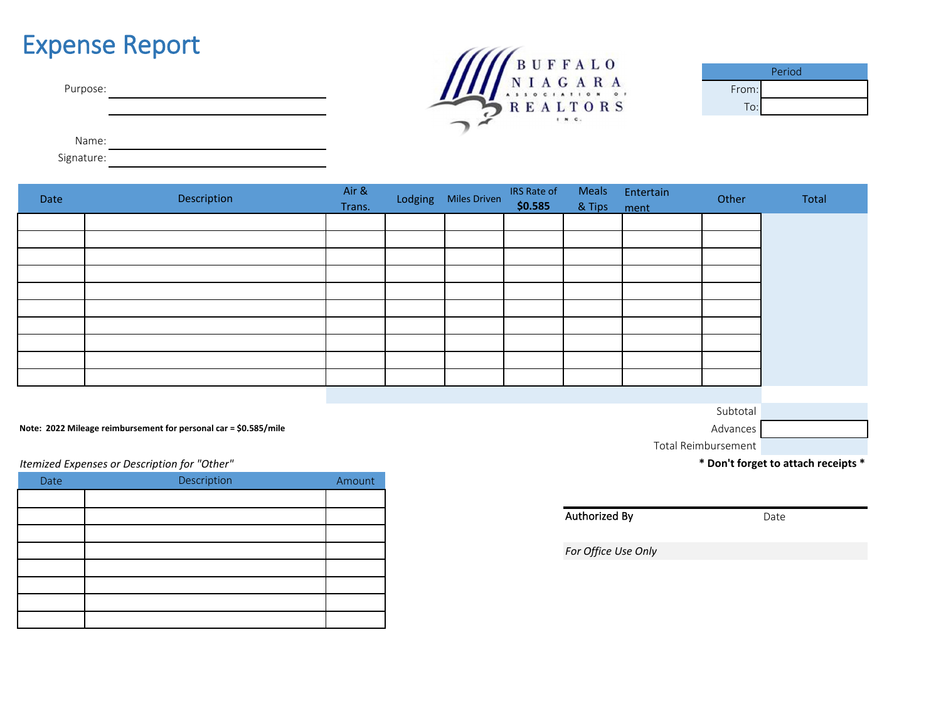## Expense Report

| Purpose: |
|----------|
|----------|



| Period |  |  |  |  |  |  |
|--------|--|--|--|--|--|--|
| From:  |  |  |  |  |  |  |
| To:    |  |  |  |  |  |  |

Name:

Signature:

| Date | Description | Air &<br>Trans. | Lodging Miles Driven | IRS Rate of<br>\$0.585 | & Tips ment | Meals Entertain | Other | Total |
|------|-------------|-----------------|----------------------|------------------------|-------------|-----------------|-------|-------|
|      |             |                 |                      |                        |             |                 |       |       |
|      |             |                 |                      |                        |             |                 |       |       |
|      |             |                 |                      |                        |             |                 |       |       |
|      |             |                 |                      |                        |             |                 |       |       |
|      |             |                 |                      |                        |             |                 |       |       |
|      |             |                 |                      |                        |             |                 |       |       |
|      |             |                 |                      |                        |             |                 |       |       |
|      |             |                 |                      |                        |             |                 |       |       |
|      |             |                 |                      |                        |             |                 |       |       |
|      |             |                 |                      |                        |             |                 |       |       |

**Note: 2022 Mileage reimbursement for personal car = \$0.585/mile** Advances

*Itemized Expenses or Description for "Other"*

| Date | Description | Amount |
|------|-------------|--------|
|      |             |        |
|      |             |        |
|      |             |        |
|      |             |        |
|      |             |        |
|      |             |        |
|      |             |        |
|      |             |        |

Subtotal

Total Reimbursement

**\* Don't forget to attach receipts \***

Authorized By

Date

*For Office Use Only*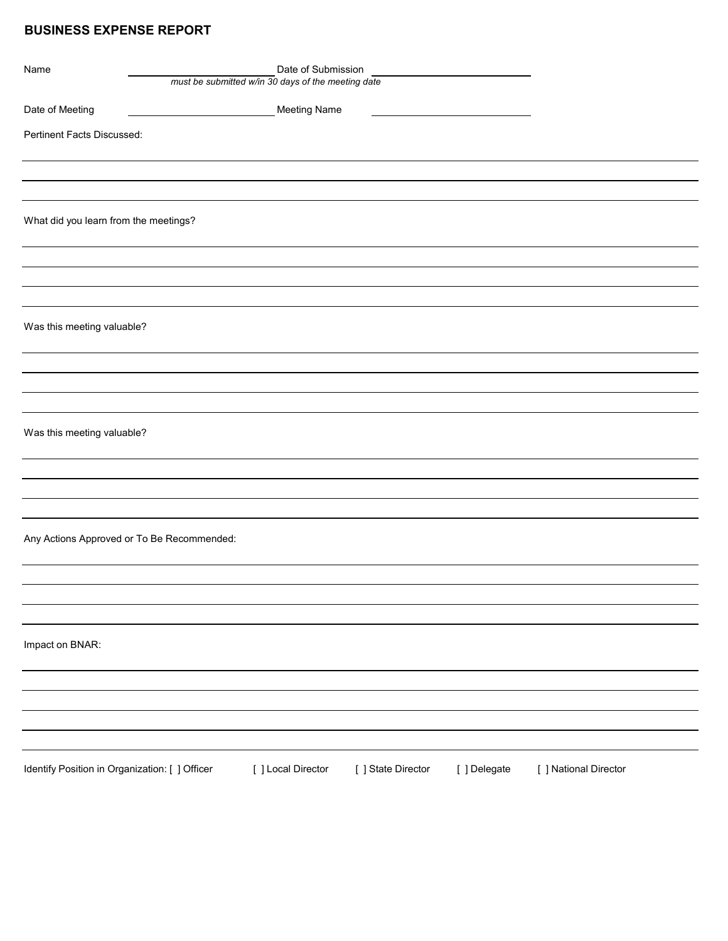## **BUSINESS EXPENSE REPORT**

| Name                                           |                                            | Date of Submission                                 |                    |              |                       |  |
|------------------------------------------------|--------------------------------------------|----------------------------------------------------|--------------------|--------------|-----------------------|--|
|                                                |                                            | must be submitted w/in 30 days of the meeting date |                    |              |                       |  |
| Date of Meeting                                |                                            | <b>Meeting Name</b>                                |                    |              |                       |  |
| Pertinent Facts Discussed:                     |                                            |                                                    |                    |              |                       |  |
|                                                |                                            |                                                    |                    |              |                       |  |
|                                                |                                            |                                                    |                    |              |                       |  |
|                                                |                                            |                                                    |                    |              |                       |  |
|                                                |                                            |                                                    |                    |              |                       |  |
| What did you learn from the meetings?          |                                            |                                                    |                    |              |                       |  |
|                                                |                                            |                                                    |                    |              |                       |  |
|                                                |                                            |                                                    |                    |              |                       |  |
|                                                |                                            |                                                    |                    |              |                       |  |
|                                                |                                            |                                                    |                    |              |                       |  |
| Was this meeting valuable?                     |                                            |                                                    |                    |              |                       |  |
|                                                |                                            |                                                    |                    |              |                       |  |
|                                                |                                            |                                                    |                    |              |                       |  |
|                                                |                                            |                                                    |                    |              |                       |  |
|                                                |                                            |                                                    |                    |              |                       |  |
| Was this meeting valuable?                     |                                            |                                                    |                    |              |                       |  |
|                                                |                                            |                                                    |                    |              |                       |  |
|                                                |                                            |                                                    |                    |              |                       |  |
|                                                |                                            |                                                    |                    |              |                       |  |
|                                                |                                            |                                                    |                    |              |                       |  |
|                                                |                                            |                                                    |                    |              |                       |  |
|                                                | Any Actions Approved or To Be Recommended: |                                                    |                    |              |                       |  |
|                                                |                                            |                                                    |                    |              |                       |  |
|                                                |                                            |                                                    |                    |              |                       |  |
|                                                |                                            |                                                    |                    |              |                       |  |
|                                                |                                            |                                                    |                    |              |                       |  |
| Impact on BNAR:                                |                                            |                                                    |                    |              |                       |  |
|                                                |                                            |                                                    |                    |              |                       |  |
|                                                |                                            |                                                    |                    |              |                       |  |
|                                                |                                            |                                                    |                    |              |                       |  |
|                                                |                                            |                                                    |                    |              |                       |  |
|                                                |                                            |                                                    |                    |              |                       |  |
| Identify Position in Organization: [ ] Officer |                                            | [ ] Local Director                                 | [ ] State Director | [ ] Delegate | [ ] National Director |  |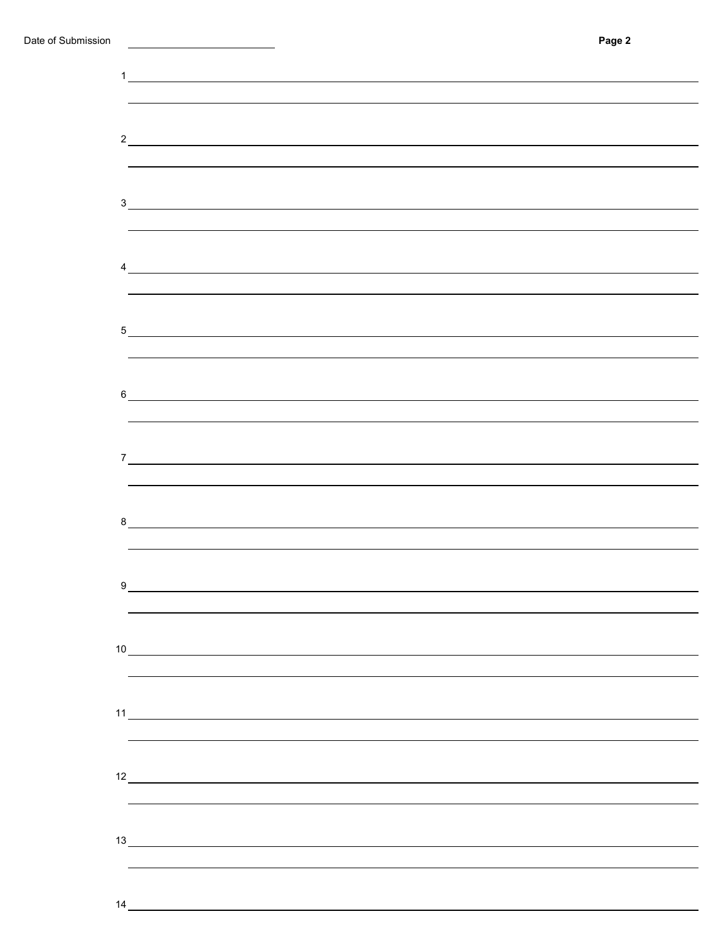| $\frac{1}{\sqrt{1-\frac{1}{2}}}\left\vert \frac{1}{\sqrt{1-\frac{1}{2}}}\right\vert$<br>$\frac{2}{\sqrt{2}}$<br>3<br>$\frac{1}{2}$<br>$9 \quad \overline{\qquad \qquad }$<br>10<br>$\frac{11}{2}$<br>12<br>13 |  |  |  |
|---------------------------------------------------------------------------------------------------------------------------------------------------------------------------------------------------------------|--|--|--|
|                                                                                                                                                                                                               |  |  |  |
|                                                                                                                                                                                                               |  |  |  |
|                                                                                                                                                                                                               |  |  |  |
|                                                                                                                                                                                                               |  |  |  |
|                                                                                                                                                                                                               |  |  |  |
|                                                                                                                                                                                                               |  |  |  |
|                                                                                                                                                                                                               |  |  |  |
|                                                                                                                                                                                                               |  |  |  |
|                                                                                                                                                                                                               |  |  |  |
|                                                                                                                                                                                                               |  |  |  |
|                                                                                                                                                                                                               |  |  |  |
|                                                                                                                                                                                                               |  |  |  |
|                                                                                                                                                                                                               |  |  |  |
|                                                                                                                                                                                                               |  |  |  |
|                                                                                                                                                                                                               |  |  |  |
|                                                                                                                                                                                                               |  |  |  |
|                                                                                                                                                                                                               |  |  |  |
|                                                                                                                                                                                                               |  |  |  |
|                                                                                                                                                                                                               |  |  |  |
|                                                                                                                                                                                                               |  |  |  |
|                                                                                                                                                                                                               |  |  |  |
|                                                                                                                                                                                                               |  |  |  |
|                                                                                                                                                                                                               |  |  |  |
|                                                                                                                                                                                                               |  |  |  |
|                                                                                                                                                                                                               |  |  |  |
|                                                                                                                                                                                                               |  |  |  |
|                                                                                                                                                                                                               |  |  |  |
|                                                                                                                                                                                                               |  |  |  |
|                                                                                                                                                                                                               |  |  |  |
|                                                                                                                                                                                                               |  |  |  |
|                                                                                                                                                                                                               |  |  |  |
|                                                                                                                                                                                                               |  |  |  |
|                                                                                                                                                                                                               |  |  |  |
|                                                                                                                                                                                                               |  |  |  |
|                                                                                                                                                                                                               |  |  |  |
|                                                                                                                                                                                                               |  |  |  |
|                                                                                                                                                                                                               |  |  |  |
|                                                                                                                                                                                                               |  |  |  |
|                                                                                                                                                                                                               |  |  |  |
|                                                                                                                                                                                                               |  |  |  |
|                                                                                                                                                                                                               |  |  |  |
|                                                                                                                                                                                                               |  |  |  |
|                                                                                                                                                                                                               |  |  |  |
|                                                                                                                                                                                                               |  |  |  |
|                                                                                                                                                                                                               |  |  |  |
|                                                                                                                                                                                                               |  |  |  |
|                                                                                                                                                                                                               |  |  |  |
|                                                                                                                                                                                                               |  |  |  |
|                                                                                                                                                                                                               |  |  |  |
|                                                                                                                                                                                                               |  |  |  |
|                                                                                                                                                                                                               |  |  |  |
|                                                                                                                                                                                                               |  |  |  |
|                                                                                                                                                                                                               |  |  |  |
|                                                                                                                                                                                                               |  |  |  |
| 14                                                                                                                                                                                                            |  |  |  |